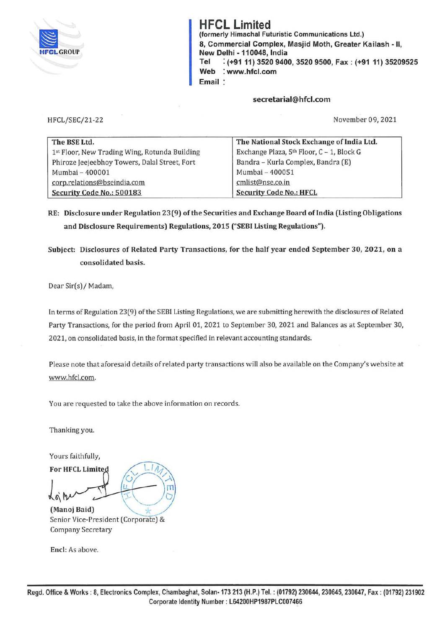

**HFCL Limited (formerly Himachal Futuristic Communications Ltd.) 8, Commercial Complex, Masjid Moth, Greater Kailash** - II, **New Delhi** - **110048, India Tel** : **(+9111) 3520 9400, 3520 9500, Fax: (+91 11) 35209525 Web** : **www.hfcl.com Email** 

**secretarial@hfcl.com** 

HFCL/SEC/21-22

November 09, 2021

| The BSE Ltd.                                  | The National Stock Exchange of India Ltd.             |
|-----------------------------------------------|-------------------------------------------------------|
| 1st Floor, New Trading Wing, Rotunda Building | Exchange Plaza, 5 <sup>th</sup> Floor, C - 1, Block G |
| Phiroze Jeejeebhoy Towers, Dalal Street, Fort | Bandra - Kurla Complex, Bandra (E)                    |
| Mumbai - 400001                               | Mumbai - 400051                                       |
| corp.relations@bseindia.com                   | cmlist@nse.co.in                                      |
| Security Code No.: 500183                     | <b>Security Code No.: HFCL</b>                        |

**RE: Disclosure under Regulation 2 3 (9) of the Securities and Exchange Board of India (Listing Obligations and Disclosure Requirements) Regulations, 2015 ("SEBI Listing Regulations").** 

**Subject: Disclosures of Related Party Transactions, for the half year ended September 30, 2021, on a consolidated basis.** 

Dear Sir(s)/ Madam,

In terms of Regulation 23(9) of the SEBI Listing Regulations, we are submitting herewith the disclosures of Related Party Transactions, for the period from April 01, 2021 to September 30, 2021 and Balances as at September 30, 2021, on consolidated basis, in the format specified in relevant accounting standards.

Please note that aforesaid details of related party transactions will also be available on the Company's website at www.hfcl.com.

You are requested to take the above information on records.

Thanking you.

Yours faithfully,

For HFCL Limited *l6\* 

**(Manoj Baid)**  Senior Vice-President (Corporate) & Company Secretary

**Encl:** As above.